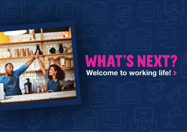

### Welcome to working life! > WHAT'S NEXT?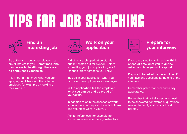# **TIPS FOR JOB SEARCHING**



Find an interesting job

Be active and contact employers that are of interest to you. Sometimes jobs can be available although there are no announced vacancies.

It is important to know what you are applying for. Check out the potential employer, for example by looking at their website.



A distinctive job application stands out, but watch out for overkill. Before submitting your job application, ask for feedback from someone you know.

Include in your application what you can offer the employer as an employee.

#### In the application tell the employer what you can do and be proud of your skills.

In addition to or in the absence of work experience, you may also include hobbies and volunteer work in your CV.

Ask for references, for example from former supervisors or hobby instructors.



Prepare for your interview

If you are called for an interview, think ahead of time what you might be asked and how you will respond.

Prepare to be asked by the employer if you have any questions at the end of the interview.

Remember polite manners and a tidy appearance.

Remember that not all questions need to be answered (for example, questions relating to family status or political beliefs).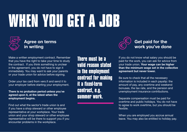## **WHEN YOU GET A JOB**



#### Agree on terms in writing

Make a written employment contract. Remember that you have the right to take your time to study the contract. If you think something is unclear in the agreement, you do not have to sign it immediately. You may want to ask your parents or your trade union for advice before signing.

Order your tax card from vero.fi and send it to your employer before starting your employment.

There is no probation period unless you´ve agreed upon it, at the latest when the employment begins.

Find out what the sector's trade union is and if you have a shop steward or other employee representative at your workplace. Your trade union and your shop steward or other employee representative will be there to support you if you encounter problems in the workplace.

**There must be a valid reason stated in the employment contract for making it a fixed-term contract, e.g. summer work.**



Get paid for the work you've done

If you do not know what salary you should be paid for the work, you can ask for advice from your trade union. Your wage can be higher than the minimum wage set in the collective agreement but never lower.

Be sure to check that all the necessary information is included in each payslip: the amount of pay, any overtime and weekend bonuses, the tax rate, and the pension and unemployment insurance contributions.

Separate compensation must be paid for overtime and public holidays. You do not have to agree to work overtime, but you should be flexible.

When you are employed you accrue annual leave. You may also be entitled to holiday pay.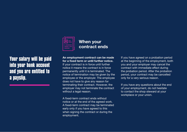

**Your salary will be paid into your bank account and you are entitled to a payslip.**

An employment contract can be made for a fixed term or until further notice.

If your contract is in force until further notice it means the contract is in force permanently until it is terminated. The notice of termination may be given by the employee or the employer. The employee does not have to give any reason for terminating their contract. However, the employer may not terminate the contract without a legal reason.

A fixed-term contract ends without notice or at the end of the agreed work. A fixed-term contract may be terminated early only if you have agreed to this when signing the contract or during the employment.

If you have agreed on a probation period at the beginning of the employment, both you and your employer may cancel the contract with immediate effect during the probation period. After the probation period, your contract may be cancelled only for a very serious reason.

If you have any questions about the end of your employment, do not hesitate to contact the shop steward at your workplace or your union.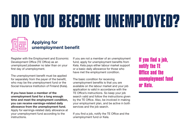### **DID YOU BECOME UNEMPLOYED?**



#### Applying for unemployment benefit

Register with the Employment and Economic Development Office (TE Office) as an unemployed jobseeker no later than on your first day of unemployment.

The unemployment benefit must be applied for separately from the payer of the benefit, who may be the unemployment fund or the Social Insurance Institution of Finland (Kela).

If you have been a member of the unemployment fund for a long enough time and meet the employment condition, you can receive earnings-related daily allowance from the unemployment fund. Apply for earnings-related daily allowance at your unemployment fund according to the instructions.

If you are not a member of an unemployment fund, apply for unemployment benefits from Kela. Kela pays either labour market support or a basic daily allowance for those who have met the employment condition.

The basic condition for receiving unemployment benefits is that you are available on the labour market and your job application is valid in accordance with the TE Office's instructions. So keep your job search valid and follow the instructions given by the TE Office. Also, be involved in making your employment plan, and be active in both services and the job search.

If you find a job, notify the TE Office and the unemployment fund or Kela.

**If you find a job, notify the TE Office and the unemployment fund or Kela.**